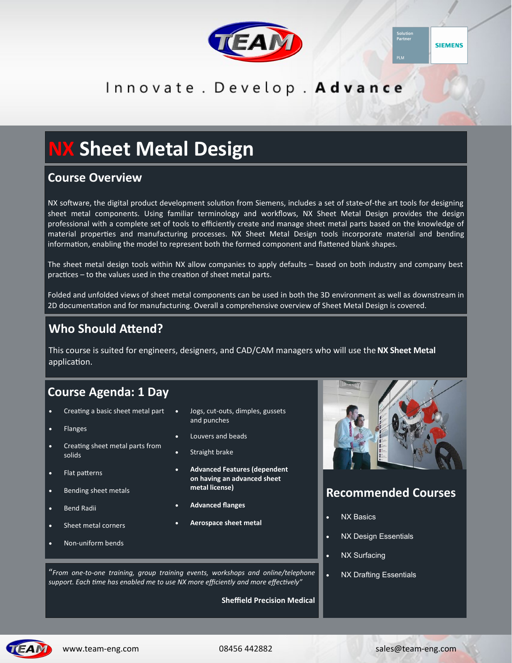



# Innovate . Develop . Advance

# **NX Sheet Metal Design**

#### **Course Overview**

NX software, the digital product development solution from Siemens, includes a set of state-of-the art tools for designing sheet metal components. Using familiar terminology and workflows, NX Sheet Metal Design provides the design professional with a complete set of tools to efficiently create and manage sheet metal parts based on the knowledge of material properties and manufacturing processes. NX Sheet Metal Design tools incorporate material and bending information, enabling the model to represent both the formed component and flattened blank shapes.

The sheet metal design tools within NX allow companies to apply defaults – based on both industry and company best practices – to the values used in the creation of sheet metal parts.

Folded and unfolded views of sheet metal components can be used in both the 3D environment as well as downstream in 2D documentation and for manufacturing. Overall a comprehensive overview of Sheet Metal Design is covered.

## **Who Should Attend?**

This course is suited for engineers, designers, and CAD/CAM managers who will use the **NX Sheet Metal**  application.

# **Course Agenda: 1 Day 1 Days)**

- Creating a basic sheet metal part
- Flanges
- Creating sheet metal parts from solids
- Flat patterns
- Bending sheet metals
- Bend Radii
- Sheet metal corners

Non-uniform bends

- Jogs, cut-outs, dimples, gussets and punches
- Louvers and beads
- Straight brake
- **Advanced Features (dependent on having an advanced sheet metal license)**
- **Advanced flanges**
- **Aerospace sheet metal**



## **Recommended Courses**

- NX Basics
- NX Design Essentials
- NX Surfacing
	-

 NX Drafting Essentials "*From one-to-one training, group training events, workshops and online/telephone support. Each time has enabled me to use NX more efficiently and more effectively"*

**Sheffield Precision Medical**